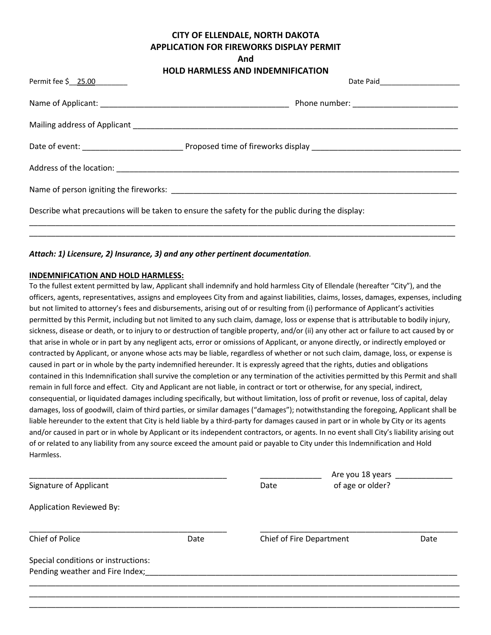# **CITY OF ELLENDALE, NORTH DAKOTA APPLICATION FOR FIREWORKS DISPLAY PERMIT**

**And**

| Permit fee \$ 25.00                                                                             |  |  |  |  |
|-------------------------------------------------------------------------------------------------|--|--|--|--|
|                                                                                                 |  |  |  |  |
|                                                                                                 |  |  |  |  |
|                                                                                                 |  |  |  |  |
|                                                                                                 |  |  |  |  |
|                                                                                                 |  |  |  |  |
| Describe what precautions will be taken to ensure the safety for the public during the display: |  |  |  |  |
|                                                                                                 |  |  |  |  |

## *Attach: 1) Licensure, 2) Insurance, 3) and any other pertinent documentation*.

#### **INDEMNIFICATION AND HOLD HARMLESS:**

To the fullest extent permitted by law, Applicant shall indemnify and hold harmless City of Ellendale (hereafter "City"), and the officers, agents, representatives, assigns and employees City from and against liabilities, claims, losses, damages, expenses, including but not limited to attorney's fees and disbursements, arising out of or resulting from (i) performance of Applicant's activities permitted by this Permit, including but not limited to any such claim, damage, loss or expense that is attributable to bodily injury, sickness, disease or death, or to injury to or destruction of tangible property, and/or (ii) any other act or failure to act caused by or that arise in whole or in part by any negligent acts, error or omissions of Applicant, or anyone directly, or indirectly employed or contracted by Applicant, or anyone whose acts may be liable, regardless of whether or not such claim, damage, loss, or expense is caused in part or in whole by the party indemnified hereunder. It is expressly agreed that the rights, duties and obligations contained in this Indemnification shall survive the completion or any termination of the activities permitted by this Permit and shall remain in full force and effect. City and Applicant are not liable, in contract or tort or otherwise, for any special, indirect, consequential, or liquidated damages including specifically, but without limitation, loss of profit or revenue, loss of capital, delay damages, loss of goodwill, claim of third parties, or similar damages ("damages"); notwithstanding the foregoing, Applicant shall be liable hereunder to the extent that City is held liable by a third-party for damages caused in part or in whole by City or its agents and/or caused in part or in whole by Applicant or its independent contractors, or agents. In no event shall City's liability arising out of or related to any liability from any source exceed the amount paid or payable to City under this Indemnification and Hold Harmless.

|                                                                        | Are you 18 years |      |                          |  |
|------------------------------------------------------------------------|------------------|------|--------------------------|--|
| Signature of Applicant                                                 |                  | Date | of age or older?         |  |
| <b>Application Reviewed By:</b>                                        |                  |      |                          |  |
| Chief of Police                                                        | Date             |      | Chief of Fire Department |  |
| Special conditions or instructions:<br>Pending weather and Fire Index; |                  |      |                          |  |
|                                                                        |                  |      |                          |  |

\_\_\_\_\_\_\_\_\_\_\_\_\_\_\_\_\_\_\_\_\_\_\_\_\_\_\_\_\_\_\_\_\_\_\_\_\_\_\_\_\_\_\_\_\_\_\_\_\_\_\_\_\_\_\_\_\_\_\_\_\_\_\_\_\_\_\_\_\_\_\_\_\_\_\_\_\_\_\_\_\_\_\_\_\_\_\_\_\_\_\_\_\_\_\_\_\_\_